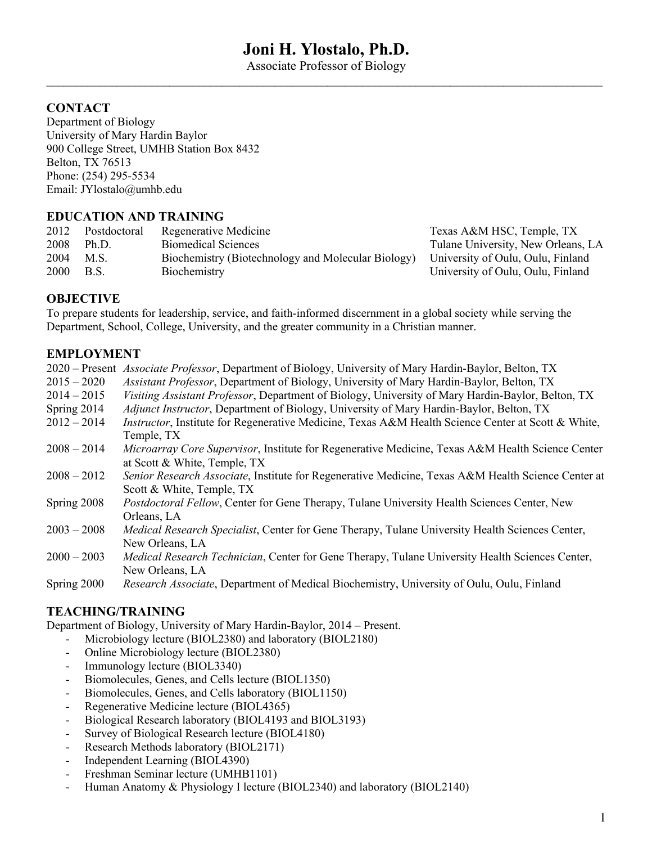# **Joni H. Ylostalo, Ph.D.**

Associate Professor of Biology  $\mathcal{L}_\mathcal{L} = \mathcal{L}_\mathcal{L} = \mathcal{L}_\mathcal{L} = \mathcal{L}_\mathcal{L} = \mathcal{L}_\mathcal{L} = \mathcal{L}_\mathcal{L} = \mathcal{L}_\mathcal{L} = \mathcal{L}_\mathcal{L} = \mathcal{L}_\mathcal{L} = \mathcal{L}_\mathcal{L} = \mathcal{L}_\mathcal{L} = \mathcal{L}_\mathcal{L} = \mathcal{L}_\mathcal{L} = \mathcal{L}_\mathcal{L} = \mathcal{L}_\mathcal{L} = \mathcal{L}_\mathcal{L} = \mathcal{L}_\mathcal{L}$ 

## **CONTACT**

Department of Biology University of Mary Hardin Baylor 900 College Street, UMHB Station Box 8432 Belton, TX 76513 Phone: (254) 295-5534 Email: JYlostalo@umhb.edu

## **EDUCATION AND TRAINING**

| 2012        | Postdoctoral | Regenerative Medicine                                       | Texas A  |
|-------------|--------------|-------------------------------------------------------------|----------|
| 2008        | Ph.D.        | Biomedical Sciences                                         | Tulane I |
| 2004        | M.S.         | Biochemistry (Biotechnology and Molecular Biology) Universi |          |
| <b>2000</b> | <b>B.S.</b>  | Biochemistry                                                | Universi |

 $&M$  HSC, Temple, TX Jniversity, New Orleans, LA ity of Oulu, Oulu, Finland ity of Oulu, Oulu, Finland

## **OBJECTIVE**

To prepare students for leadership, service, and faith-informed discernment in a global society while serving the Department, School, College, University, and the greater community in a Christian manner.

## **EMPLOYMENT**

|               | 2020 – Present Associate Professor, Department of Biology, University of Mary Hardin-Baylor, Belton, TX                          |
|---------------|----------------------------------------------------------------------------------------------------------------------------------|
| $2015 - 2020$ | Assistant Professor, Department of Biology, University of Mary Hardin-Baylor, Belton, TX                                         |
| $2014 - 2015$ | Visiting Assistant Professor, Department of Biology, University of Mary Hardin-Baylor, Belton, TX                                |
| Spring 2014   | Adjunct Instructor, Department of Biology, University of Mary Hardin-Baylor, Belton, TX                                          |
| $2012 - 2014$ | Instructor, Institute for Regenerative Medicine, Texas A&M Health Science Center at Scott & White,<br>Temple, TX                 |
| $2008 - 2014$ | Microarray Core Supervisor, Institute for Regenerative Medicine, Texas A&M Health Science Center<br>at Scott & White, Temple, TX |
| $2008 - 2012$ | Senior Research Associate, Institute for Regenerative Medicine, Texas A&M Health Science Center at<br>Scott & White, Temple, TX  |
| Spring 2008   | Postdoctoral Fellow, Center for Gene Therapy, Tulane University Health Sciences Center, New<br>Orleans, LA                       |
| $2003 - 2008$ | Medical Research Specialist, Center for Gene Therapy, Tulane University Health Sciences Center,<br>New Orleans, LA               |
| $2000 - 2003$ | <i>Medical Research Technician</i> , Center for Gene Therapy, Tulane University Health Sciences Center,<br>New Orleans, LA       |
| Spring 2000   | Research Associate, Department of Medical Biochemistry, University of Oulu, Oulu, Finland                                        |

## **TEACHING/TRAINING**

Department of Biology, University of Mary Hardin-Baylor, 2014 – Present.

- Microbiology lecture (BIOL2380) and laboratory (BIOL2180)
- Online Microbiology lecture (BIOL2380)
- Immunology lecture (BIOL3340)
- Biomolecules, Genes, and Cells lecture (BIOL1350)
- Biomolecules, Genes, and Cells laboratory (BIOL1150)
- Regenerative Medicine lecture (BIOL4365)
- Biological Research laboratory (BIOL4193 and BIOL3193)
- Survey of Biological Research lecture (BIOL4180)
- Research Methods laboratory (BIOL2171)
- Independent Learning (BIOL4390)
- Freshman Seminar lecture (UMHB1101)
- Human Anatomy & Physiology I lecture (BIOL2340) and laboratory (BIOL2140)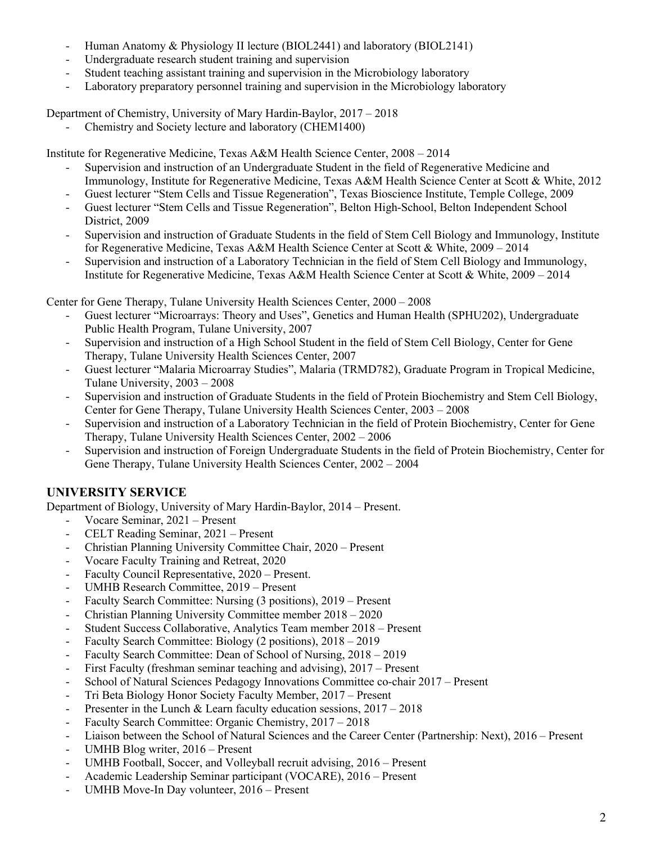- Human Anatomy & Physiology II lecture (BIOL2441) and laboratory (BIOL2141)
- Undergraduate research student training and supervision
- Student teaching assistant training and supervision in the Microbiology laboratory
- Laboratory preparatory personnel training and supervision in the Microbiology laboratory

Department of Chemistry, University of Mary Hardin-Baylor, 2017 – 2018

Chemistry and Society lecture and laboratory (CHEM1400)

Institute for Regenerative Medicine, Texas A&M Health Science Center, 2008 – 2014

- Supervision and instruction of an Undergraduate Student in the field of Regenerative Medicine and Immunology, Institute for Regenerative Medicine, Texas A&M Health Science Center at Scott & White, 2012
- Guest lecturer "Stem Cells and Tissue Regeneration", Texas Bioscience Institute, Temple College, 2009
- Guest lecturer "Stem Cells and Tissue Regeneration", Belton High-School, Belton Independent School District, 2009
- Supervision and instruction of Graduate Students in the field of Stem Cell Biology and Immunology, Institute for Regenerative Medicine, Texas A&M Health Science Center at Scott & White, 2009 – 2014
- Supervision and instruction of a Laboratory Technician in the field of Stem Cell Biology and Immunology, Institute for Regenerative Medicine, Texas A&M Health Science Center at Scott & White, 2009 – 2014

Center for Gene Therapy, Tulane University Health Sciences Center, 2000 – 2008

- Guest lecturer "Microarrays: Theory and Uses", Genetics and Human Health (SPHU202), Undergraduate Public Health Program, Tulane University, 2007
- Supervision and instruction of a High School Student in the field of Stem Cell Biology, Center for Gene Therapy, Tulane University Health Sciences Center, 2007
- Guest lecturer "Malaria Microarray Studies", Malaria (TRMD782), Graduate Program in Tropical Medicine, Tulane University, 2003 – 2008
- Supervision and instruction of Graduate Students in the field of Protein Biochemistry and Stem Cell Biology, Center for Gene Therapy, Tulane University Health Sciences Center, 2003 – 2008
- Supervision and instruction of a Laboratory Technician in the field of Protein Biochemistry, Center for Gene Therapy, Tulane University Health Sciences Center, 2002 – 2006
- Supervision and instruction of Foreign Undergraduate Students in the field of Protein Biochemistry, Center for Gene Therapy, Tulane University Health Sciences Center, 2002 – 2004

## **UNIVERSITY SERVICE**

Department of Biology, University of Mary Hardin-Baylor, 2014 – Present.

- Vocare Seminar, 2021 Present
- CELT Reading Seminar, 2021 Present
- Christian Planning University Committee Chair, 2020 Present
- Vocare Faculty Training and Retreat, 2020
- Faculty Council Representative, 2020 Present.
- UMHB Research Committee, 2019 Present
- Faculty Search Committee: Nursing (3 positions), 2019 Present
- Christian Planning University Committee member 2018 2020
- Student Success Collaborative, Analytics Team member 2018 Present
- Faculty Search Committee: Biology (2 positions), 2018 2019
- Faculty Search Committee: Dean of School of Nursing, 2018 2019
- First Faculty (freshman seminar teaching and advising), 2017 Present
- School of Natural Sciences Pedagogy Innovations Committee co-chair 2017 Present
- Tri Beta Biology Honor Society Faculty Member, 2017 Present
- Presenter in the Lunch & Learn faculty education sessions,  $2017 2018$
- Faculty Search Committee: Organic Chemistry, 2017 2018
- Liaison between the School of Natural Sciences and the Career Center (Partnership: Next), 2016 Present
- UMHB Blog writer, 2016 Present
- UMHB Football, Soccer, and Volleyball recruit advising, 2016 Present
- Academic Leadership Seminar participant (VOCARE), 2016 Present
- UMHB Move-In Day volunteer, 2016 Present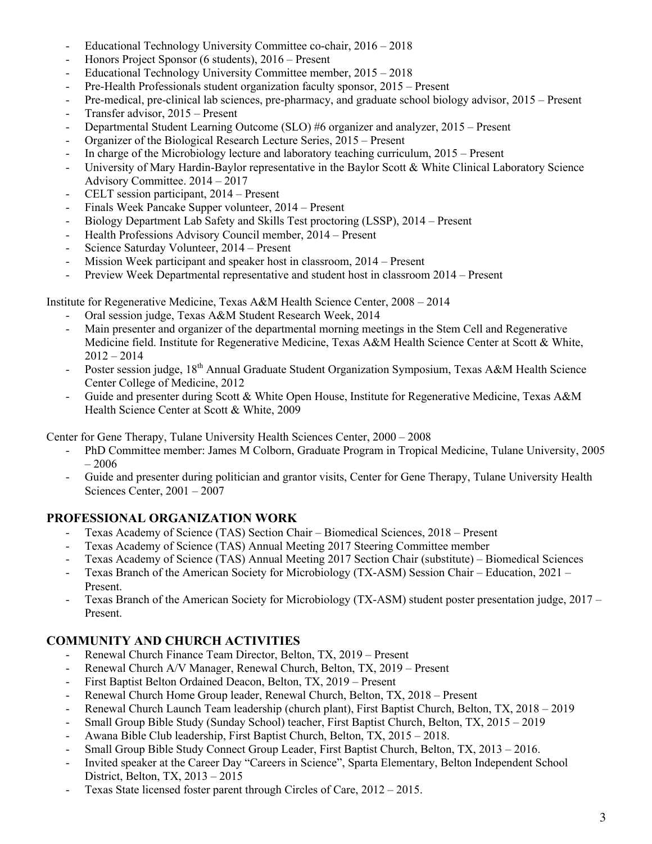- Educational Technology University Committee co-chair, 2016 2018
- Honors Project Sponsor (6 students), 2016 Present
- Educational Technology University Committee member, 2015 2018
- Pre-Health Professionals student organization faculty sponsor, 2015 Present
- Pre-medical, pre-clinical lab sciences, pre-pharmacy, and graduate school biology advisor, 2015 Present
- Transfer advisor, 2015 Present
- Departmental Student Learning Outcome (SLO) #6 organizer and analyzer, 2015 Present
- Organizer of the Biological Research Lecture Series, 2015 Present
- In charge of the Microbiology lecture and laboratory teaching curriculum, 2015 Present
- University of Mary Hardin-Baylor representative in the Baylor Scott & White Clinical Laboratory Science Advisory Committee. 2014 – 2017
- CELT session participant, 2014 Present
- Finals Week Pancake Supper volunteer, 2014 Present
- Biology Department Lab Safety and Skills Test proctoring (LSSP), 2014 Present
- Health Professions Advisory Council member, 2014 Present
- Science Saturday Volunteer, 2014 Present
- Mission Week participant and speaker host in classroom, 2014 Present
- Preview Week Departmental representative and student host in classroom 2014 Present

Institute for Regenerative Medicine, Texas A&M Health Science Center, 2008 – 2014

- Oral session judge, Texas A&M Student Research Week, 2014
- Main presenter and organizer of the departmental morning meetings in the Stem Cell and Regenerative Medicine field. Institute for Regenerative Medicine, Texas A&M Health Science Center at Scott & White,  $2012 - 2014$
- Poster session judge, 18<sup>th</sup> Annual Graduate Student Organization Symposium, Texas A&M Health Science Center College of Medicine, 2012
- Guide and presenter during Scott & White Open House, Institute for Regenerative Medicine, Texas A&M Health Science Center at Scott & White, 2009

Center for Gene Therapy, Tulane University Health Sciences Center, 2000 – 2008

- PhD Committee member: James M Colborn, Graduate Program in Tropical Medicine, Tulane University, 2005  $-2006$
- Guide and presenter during politician and grantor visits, Center for Gene Therapy, Tulane University Health Sciences Center, 2001 – 2007

### **PROFESSIONAL ORGANIZATION WORK**

- Texas Academy of Science (TAS) Section Chair Biomedical Sciences, 2018 Present
- Texas Academy of Science (TAS) Annual Meeting 2017 Steering Committee member
- Texas Academy of Science (TAS) Annual Meeting 2017 Section Chair (substitute) Biomedical Sciences
- Texas Branch of the American Society for Microbiology (TX-ASM) Session Chair Education, 2021 Present.
- Texas Branch of the American Society for Microbiology (TX-ASM) student poster presentation judge, 2017 Present.

## **COMMUNITY AND CHURCH ACTIVITIES**

- Renewal Church Finance Team Director, Belton, TX, 2019 Present
- Renewal Church A/V Manager, Renewal Church, Belton, TX, 2019 Present
- First Baptist Belton Ordained Deacon, Belton, TX, 2019 Present
- Renewal Church Home Group leader, Renewal Church, Belton, TX, 2018 Present
- Renewal Church Launch Team leadership (church plant), First Baptist Church, Belton, TX, 2018 2019
- Small Group Bible Study (Sunday School) teacher, First Baptist Church, Belton, TX, 2015 2019
- Awana Bible Club leadership, First Baptist Church, Belton, TX, 2015 2018.
- Small Group Bible Study Connect Group Leader, First Baptist Church, Belton, TX, 2013 2016.
- Invited speaker at the Career Day "Careers in Science", Sparta Elementary, Belton Independent School District, Belton, TX, 2013 – 2015
- Texas State licensed foster parent through Circles of Care, 2012 2015.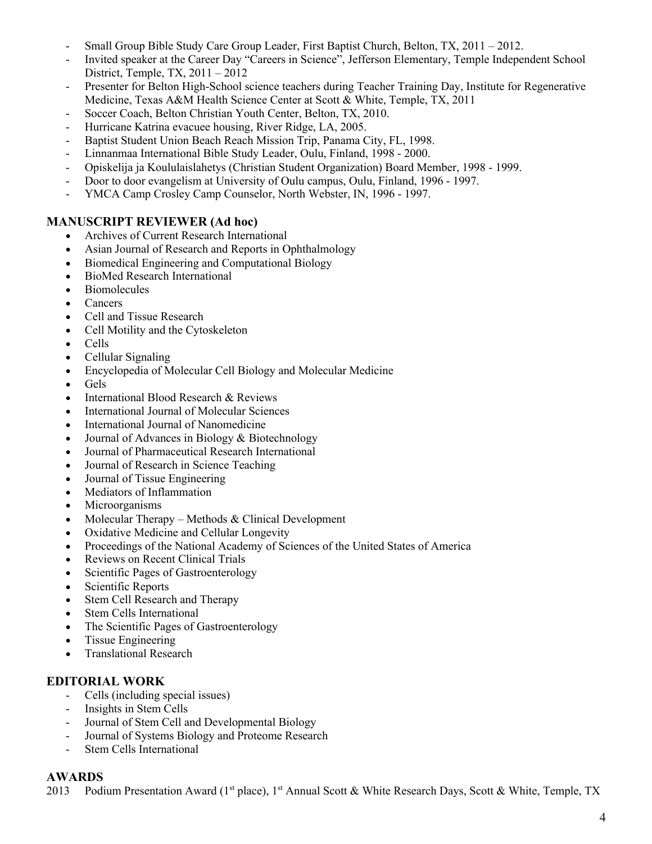- Small Group Bible Study Care Group Leader, First Baptist Church, Belton, TX, 2011 2012.
- Invited speaker at the Career Day "Careers in Science", Jefferson Elementary, Temple Independent School District, Temple, TX, 2011 – 2012
- Presenter for Belton High-School science teachers during Teacher Training Day, Institute for Regenerative Medicine, Texas A&M Health Science Center at Scott & White, Temple, TX, 2011
- Soccer Coach, Belton Christian Youth Center, Belton, TX, 2010.
- Hurricane Katrina evacuee housing, River Ridge, LA, 2005.
- Baptist Student Union Beach Reach Mission Trip, Panama City, FL, 1998.
- Linnanmaa International Bible Study Leader, Oulu, Finland, 1998 2000.
- Opiskelija ja Koululaislahetys (Christian Student Organization) Board Member, 1998 1999.
- Door to door evangelism at University of Oulu campus, Oulu, Finland, 1996 1997.
- YMCA Camp Crosley Camp Counselor, North Webster, IN, 1996 1997.

## **MANUSCRIPT REVIEWER (Ad hoc)**

- Archives of Current Research International
- Asian Journal of Research and Reports in Ophthalmology
- Biomedical Engineering and Computational Biology
- BioMed Research International
- Biomolecules
- Cancers
- Cell and Tissue Research
- Cell Motility and the Cytoskeleton
- Cells
- Cellular Signaling
- Encyclopedia of Molecular Cell Biology and Molecular Medicine
- Gels
- International Blood Research & Reviews
- International Journal of Molecular Sciences
- International Journal of Nanomedicine
- Journal of Advances in Biology & Biotechnology
- Journal of Pharmaceutical Research International
- Journal of Research in Science Teaching
- Journal of Tissue Engineering
- Mediators of Inflammation
- Microorganisms
- Molecular Therapy Methods & Clinical Development
- Oxidative Medicine and Cellular Longevity
- Proceedings of the National Academy of Sciences of the United States of America
- Reviews on Recent Clinical Trials
- Scientific Pages of Gastroenterology
- Scientific Reports
- Stem Cell Research and Therapy
- Stem Cells International
- The Scientific Pages of Gastroenterology
- Tissue Engineering
- Translational Research

### **EDITORIAL WORK**

- Cells (including special issues)
- Insights in Stem Cells
- Journal of Stem Cell and Developmental Biology
- Journal of Systems Biology and Proteome Research
- Stem Cells International

### **AWARDS**

2013 Podium Presentation Award (1<sup>st</sup> place), 1<sup>st</sup> Annual Scott & White Research Days, Scott & White, Temple, TX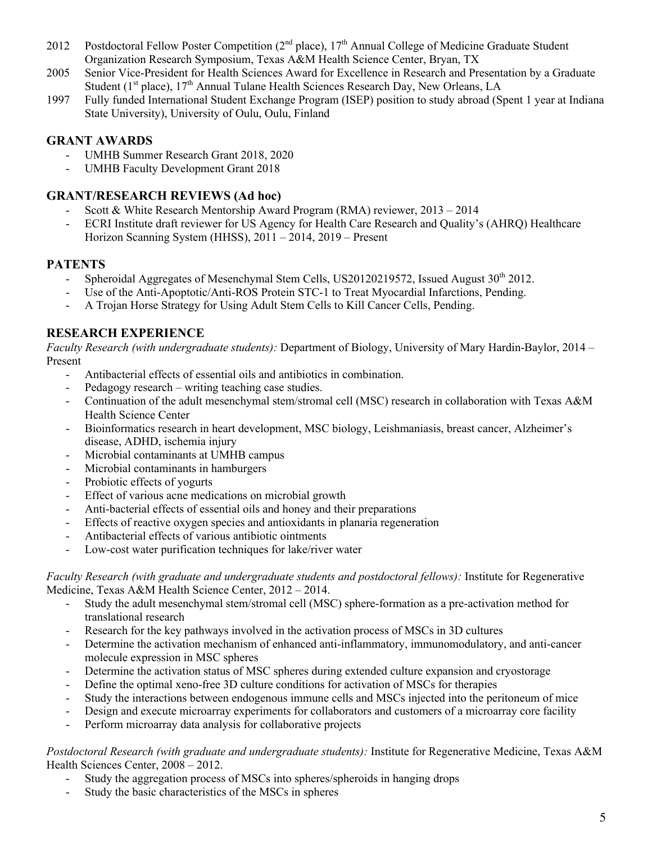- 2012 Postdoctoral Fellow Poster Competition (2<sup>nd</sup> place), 17<sup>th</sup> Annual College of Medicine Graduate Student Organization Research Symposium, Texas A&M Health Science Center, Bryan, TX
- 2005 Senior Vice-President for Health Sciences Award for Excellence in Research and Presentation by a Graduate Student ( $1<sup>st</sup>$  place),  $17<sup>th</sup>$  Annual Tulane Health Sciences Research Day, New Orleans, LA
- 1997 Fully funded International Student Exchange Program (ISEP) position to study abroad (Spent 1 year at Indiana State University), University of Oulu, Oulu, Finland

## **GRANT AWARDS**

- UMHB Summer Research Grant 2018, 2020
- UMHB Faculty Development Grant 2018

## **GRANT/RESEARCH REVIEWS (Ad hoc)**

- Scott & White Research Mentorship Award Program (RMA) reviewer, 2013 2014
- ECRI Institute draft reviewer for US Agency for Health Care Research and Quality's (AHRQ) Healthcare Horizon Scanning System (HHSS), 2011 – 2014, 2019 – Present

## **PATENTS**

- Spheroidal Aggregates of Mesenchymal Stem Cells, US20120219572, Issued August 30<sup>th</sup> 2012.
- Use of the Anti-Apoptotic/Anti-ROS Protein STC-1 to Treat Myocardial Infarctions, Pending.
- A Trojan Horse Strategy for Using Adult Stem Cells to Kill Cancer Cells, Pending.

## **RESEARCH EXPERIENCE**

*Faculty Research (with undergraduate students):* Department of Biology, University of Mary Hardin-Baylor, 2014 – Present

- Antibacterial effects of essential oils and antibiotics in combination.<br>- Pedagogy research writing teaching case studies.
- Pedagogy research writing teaching case studies.
- Continuation of the adult mesenchymal stem/stromal cell (MSC) research in collaboration with Texas A&M Health Science Center
- Bioinformatics research in heart development, MSC biology, Leishmaniasis, breast cancer, Alzheimer's disease, ADHD, ischemia injury
- Microbial contaminants at UMHB campus
- Microbial contaminants in hamburgers
- Probiotic effects of yogurts
- Effect of various acne medications on microbial growth
- Anti-bacterial effects of essential oils and honey and their preparations
- Effects of reactive oxygen species and antioxidants in planaria regeneration
- Antibacterial effects of various antibiotic ointments
- Low-cost water purification techniques for lake/river water

*Faculty Research (with graduate and undergraduate students and postdoctoral fellows):* Institute for Regenerative Medicine, Texas A&M Health Science Center, 2012 – 2014.

- Study the adult mesenchymal stem/stromal cell (MSC) sphere-formation as a pre-activation method for translational research
- Research for the key pathways involved in the activation process of MSCs in 3D cultures
- Determine the activation mechanism of enhanced anti-inflammatory, immunomodulatory, and anti-cancer molecule expression in MSC spheres
- Determine the activation status of MSC spheres during extended culture expansion and cryostorage
- Define the optimal xeno-free 3D culture conditions for activation of MSCs for therapies
- Study the interactions between endogenous immune cells and MSCs injected into the peritoneum of mice
- Design and execute microarray experiments for collaborators and customers of a microarray core facility
- Perform microarray data analysis for collaborative projects

*Postdoctoral Research (with graduate and undergraduate students):* Institute for Regenerative Medicine, Texas A&M Health Sciences Center, 2008 – 2012.

- Study the aggregation process of MSCs into spheres/spheroids in hanging drops
- Study the basic characteristics of the MSCs in spheres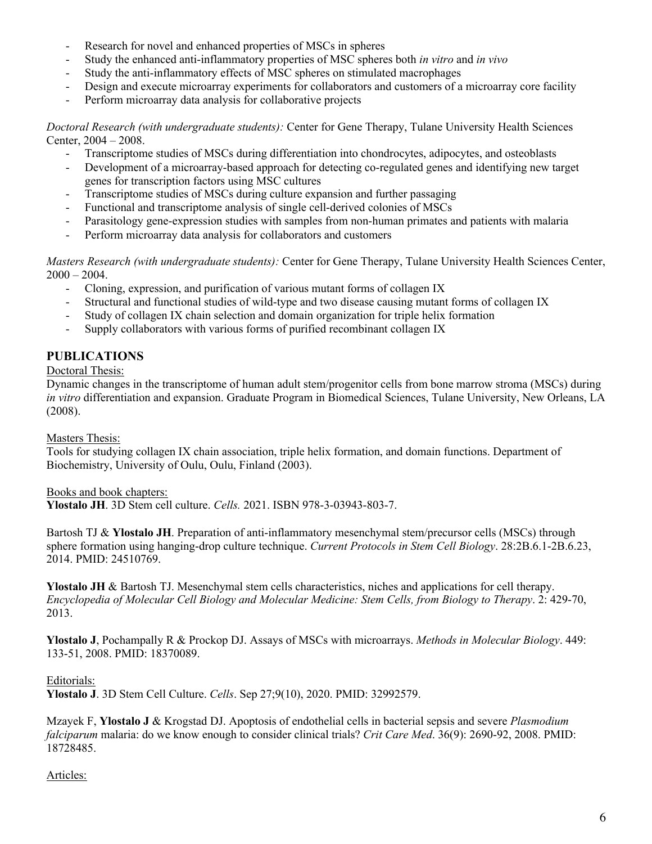- Research for novel and enhanced properties of MSCs in spheres
- Study the enhanced anti-inflammatory properties of MSC spheres both *in vitro* and *in vivo*
- Study the anti-inflammatory effects of MSC spheres on stimulated macrophages
- Design and execute microarray experiments for collaborators and customers of a microarray core facility
- Perform microarray data analysis for collaborative projects

*Doctoral Research (with undergraduate students):* Center for Gene Therapy, Tulane University Health Sciences Center, 2004 – 2008.

- Transcriptome studies of MSCs during differentiation into chondrocytes, adipocytes, and osteoblasts
- Development of a microarray-based approach for detecting co-regulated genes and identifying new target genes for transcription factors using MSC cultures
- Transcriptome studies of MSCs during culture expansion and further passaging
- Functional and transcriptome analysis of single cell-derived colonies of MSCs
- Parasitology gene-expression studies with samples from non-human primates and patients with malaria
- Perform microarray data analysis for collaborators and customers

*Masters Research (with undergraduate students):* Center for Gene Therapy, Tulane University Health Sciences Center,  $2000 - 2004$ .

- Cloning, expression, and purification of various mutant forms of collagen IX
- Structural and functional studies of wild-type and two disease causing mutant forms of collagen IX
- Study of collagen IX chain selection and domain organization for triple helix formation
- Supply collaborators with various forms of purified recombinant collagen IX

## **PUBLICATIONS**

Doctoral Thesis:

Dynamic changes in the transcriptome of human adult stem/progenitor cells from bone marrow stroma (MSCs) during *in vitro* differentiation and expansion. Graduate Program in Biomedical Sciences, Tulane University, New Orleans, LA (2008).

### Masters Thesis:

Tools for studying collagen IX chain association, triple helix formation, and domain functions. Department of Biochemistry, University of Oulu, Oulu, Finland (2003).

Books and book chapters:

**Ylostalo JH**. 3D Stem cell culture. *Cells.* 2021. ISBN 978-3-03943-803-7.

Bartosh TJ & **Ylostalo JH**. Preparation of anti-inflammatory mesenchymal stem/precursor cells (MSCs) through sphere formation using hanging-drop culture technique. *Current Protocols in Stem Cell Biology*. 28:2B.6.1-2B.6.23, 2014. PMID: 24510769.

**Ylostalo JH** & Bartosh TJ. Mesenchymal stem cells characteristics, niches and applications for cell therapy. *Encyclopedia of Molecular Cell Biology and Molecular Medicine: Stem Cells, from Biology to Therapy*. 2: 429-70, 2013.

**Ylostalo J**, Pochampally R & Prockop DJ. Assays of MSCs with microarrays. *Methods in Molecular Biology*. 449: 133-51, 2008. PMID: 18370089.

### Editorials:

**Ylostalo J**. 3D Stem Cell Culture. *Cells*. Sep 27;9(10), 2020. PMID: 32992579.

Mzayek F, **Ylostalo J** & Krogstad DJ. Apoptosis of endothelial cells in bacterial sepsis and severe *Plasmodium falciparum* malaria: do we know enough to consider clinical trials? *Crit Care Med*. 36(9): 2690-92, 2008. PMID: 18728485.

### Articles: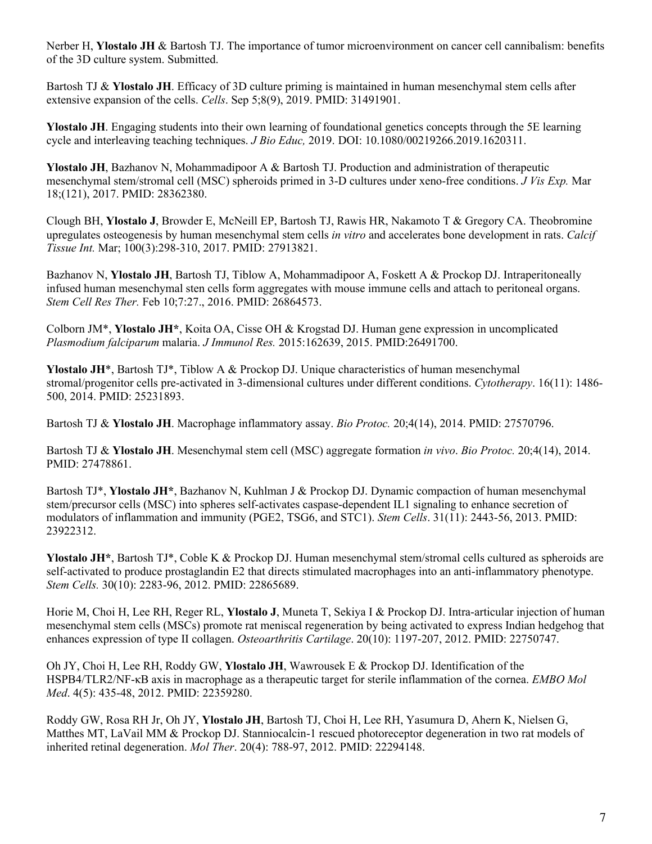Nerber H, **Ylostalo JH** & Bartosh TJ. The importance of tumor microenvironment on cancer cell cannibalism: benefits of the 3D culture system. Submitted.

Bartosh TJ & **Ylostalo JH**. Efficacy of 3D culture priming is maintained in human mesenchymal stem cells after extensive expansion of the cells. *Cells*. Sep 5;8(9), 2019. PMID: 31491901.

**Ylostalo JH**. Engaging students into their own learning of foundational genetics concepts through the 5E learning cycle and interleaving teaching techniques. *J Bio Educ,* 2019. DOI: 10.1080/00219266.2019.1620311.

**Ylostalo JH**, Bazhanov N, Mohammadipoor A & Bartosh TJ. Production and administration of therapeutic mesenchymal stem/stromal cell (MSC) spheroids primed in 3-D cultures under xeno-free conditions. *J Vis Exp.* Mar 18;(121), 2017. PMID: 28362380.

Clough BH, **Ylostalo J**, Browder E, McNeill EP, Bartosh TJ, Rawis HR, Nakamoto T & Gregory CA. Theobromine upregulates osteogenesis by human mesenchymal stem cells *in vitro* and accelerates bone development in rats. *Calcif Tissue Int.* Mar; 100(3):298-310, 2017. PMID: 27913821.

Bazhanov N, **Ylostalo JH**, Bartosh TJ, Tiblow A, Mohammadipoor A, Foskett A & Prockop DJ. Intraperitoneally infused human mesenchymal sten cells form aggregates with mouse immune cells and attach to peritoneal organs. *Stem Cell Res Ther.* Feb 10;7:27., 2016. PMID: 26864573.

Colborn JM\*, **Ylostalo JH\***, Koita OA, Cisse OH & Krogstad DJ. Human gene expression in uncomplicated *Plasmodium falciparum* malaria. *J Immunol Res.* 2015:162639, 2015. PMID:26491700.

**Ylostalo JH**\*, Bartosh TJ\*, Tiblow A & Prockop DJ. Unique characteristics of human mesenchymal stromal/progenitor cells pre-activated in 3-dimensional cultures under different conditions. *Cytotherapy*. 16(11): 1486- 500, 2014. PMID: 25231893.

Bartosh TJ & **Ylostalo JH**. Macrophage inflammatory assay. *Bio Protoc.* 20;4(14), 2014. PMID: 27570796.

Bartosh TJ & **Ylostalo JH**. Mesenchymal stem cell (MSC) aggregate formation *in vivo*. *Bio Protoc.* 20;4(14), 2014. PMID: 27478861.

Bartosh TJ\*, **Ylostalo JH\***, Bazhanov N, Kuhlman J & Prockop DJ. Dynamic compaction of human mesenchymal stem/precursor cells (MSC) into spheres self-activates caspase-dependent IL1 signaling to enhance secretion of modulators of inflammation and immunity (PGE2, TSG6, and STC1). *Stem Cells*. 31(11): 2443-56, 2013. PMID: 23922312.

**Ylostalo JH\***, Bartosh TJ\*, Coble K & Prockop DJ. Human mesenchymal stem/stromal cells cultured as spheroids are self-activated to produce prostaglandin E2 that directs stimulated macrophages into an anti-inflammatory phenotype. *Stem Cells.* 30(10): 2283-96, 2012. PMID: 22865689.

Horie M, Choi H, Lee RH, Reger RL, **Ylostalo J**, Muneta T, Sekiya I & Prockop DJ. Intra-articular injection of human mesenchymal stem cells (MSCs) promote rat meniscal regeneration by being activated to express Indian hedgehog that enhances expression of type II collagen. *Osteoarthritis Cartilage*. 20(10): 1197-207, 2012. PMID: 22750747.

Oh JY, Choi H, Lee RH, Roddy GW, **Ylostalo JH**, Wawrousek E & Prockop DJ. Identification of the HSPB4/TLR2/NF-κB axis in macrophage as a therapeutic target for sterile inflammation of the cornea. *EMBO Mol Med*. 4(5): 435-48, 2012. PMID: 22359280.

Roddy GW, Rosa RH Jr, Oh JY, **Ylostalo JH**, Bartosh TJ, Choi H, Lee RH, Yasumura D, Ahern K, Nielsen G, Matthes MT, LaVail MM & Prockop DJ. Stanniocalcin-1 rescued photoreceptor degeneration in two rat models of inherited retinal degeneration. *Mol Ther*. 20(4): 788-97, 2012. PMID: 22294148.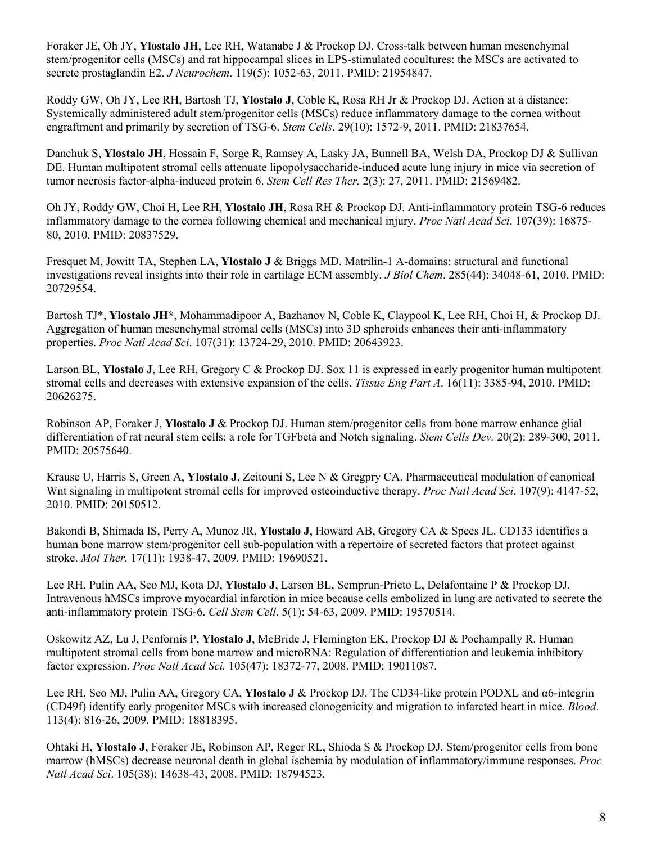Foraker JE, Oh JY, **Ylostalo JH**, Lee RH, Watanabe J & Prockop DJ. Cross-talk between human mesenchymal stem/progenitor cells (MSCs) and rat hippocampal slices in LPS-stimulated cocultures: the MSCs are activated to secrete prostaglandin E2. *J Neurochem*. 119(5): 1052-63, 2011. PMID: 21954847.

Roddy GW, Oh JY, Lee RH, Bartosh TJ, **Ylostalo J**, Coble K, Rosa RH Jr & Prockop DJ. Action at a distance: Systemically administered adult stem/progenitor cells (MSCs) reduce inflammatory damage to the cornea without engraftment and primarily by secretion of TSG-6. *Stem Cells*. 29(10): 1572-9, 2011. PMID: 21837654.

Danchuk S, **Ylostalo JH**, Hossain F, Sorge R, Ramsey A, Lasky JA, Bunnell BA, Welsh DA, Prockop DJ & Sullivan DE. Human multipotent stromal cells attenuate lipopolysaccharide-induced acute lung injury in mice via secretion of tumor necrosis factor-alpha-induced protein 6. *Stem Cell Res Ther.* 2(3): 27, 2011. PMID: 21569482.

Oh JY, Roddy GW, Choi H, Lee RH, **Ylostalo JH**, Rosa RH & Prockop DJ. Anti-inflammatory protein TSG-6 reduces inflammatory damage to the cornea following chemical and mechanical injury. *Proc Natl Acad Sci*. 107(39): 16875- 80, 2010. PMID: 20837529.

Fresquet M, Jowitt TA, Stephen LA, **Ylostalo J** & Briggs MD. Matrilin-1 A-domains: structural and functional investigations reveal insights into their role in cartilage ECM assembly. *J Biol Chem*. 285(44): 34048-61, 2010. PMID: 20729554.

Bartosh TJ\*, **Ylostalo JH\***, Mohammadipoor A, Bazhanov N, Coble K, Claypool K, Lee RH, Choi H, & Prockop DJ. Aggregation of human mesenchymal stromal cells (MSCs) into 3D spheroids enhances their anti-inflammatory properties. *Proc Natl Acad Sci*. 107(31): 13724-29, 2010. PMID: 20643923.

Larson BL, **Ylostalo J**, Lee RH, Gregory C & Prockop DJ. Sox 11 is expressed in early progenitor human multipotent stromal cells and decreases with extensive expansion of the cells. *Tissue Eng Part A*. 16(11): 3385-94, 2010. PMID: 20626275.

Robinson AP, Foraker J, **Ylostalo J** & Prockop DJ. Human stem/progenitor cells from bone marrow enhance glial differentiation of rat neural stem cells: a role for TGFbeta and Notch signaling. *Stem Cells Dev.* 20(2): 289-300, 2011. PMID: 20575640.

Krause U, Harris S, Green A, **Ylostalo J**, Zeitouni S, Lee N & Gregpry CA. Pharmaceutical modulation of canonical Wnt signaling in multipotent stromal cells for improved osteoinductive therapy. *Proc Natl Acad Sci*. 107(9): 4147-52, 2010. PMID: 20150512.

Bakondi B, Shimada IS, Perry A, Munoz JR, **Ylostalo J**, Howard AB, Gregory CA & Spees JL. CD133 identifies a human bone marrow stem/progenitor cell sub-population with a repertoire of secreted factors that protect against stroke. *Mol Ther.* 17(11): 1938-47, 2009. PMID: 19690521.

Lee RH, Pulin AA, Seo MJ, Kota DJ, **Ylostalo J**, Larson BL, Semprun-Prieto L, Delafontaine P & Prockop DJ. Intravenous hMSCs improve myocardial infarction in mice because cells embolized in lung are activated to secrete the anti-inflammatory protein TSG-6. *Cell Stem Cell*. 5(1): 54-63, 2009. PMID: 19570514.

Oskowitz AZ, Lu J, Penfornis P, **Ylostalo J**, McBride J, Flemington EK, Prockop DJ & Pochampally R. Human multipotent stromal cells from bone marrow and microRNA: Regulation of differentiation and leukemia inhibitory factor expression. *Proc Natl Acad Sci.* 105(47): 18372-77, 2008. PMID: 19011087.

Lee RH, Seo MJ, Pulin AA, Gregory CA, **Ylostalo J** & Prockop DJ. The CD34-like protein PODXL and α6-integrin (CD49f) identify early progenitor MSCs with increased clonogenicity and migration to infarcted heart in mice. *Blood*. 113(4): 816-26, 2009. PMID: 18818395.

Ohtaki H, **Ylostalo J**, Foraker JE, Robinson AP, Reger RL, Shioda S & Prockop DJ. Stem/progenitor cells from bone marrow (hMSCs) decrease neuronal death in global ischemia by modulation of inflammatory/immune responses. *Proc Natl Acad Sci*. 105(38): 14638-43, 2008. PMID: 18794523.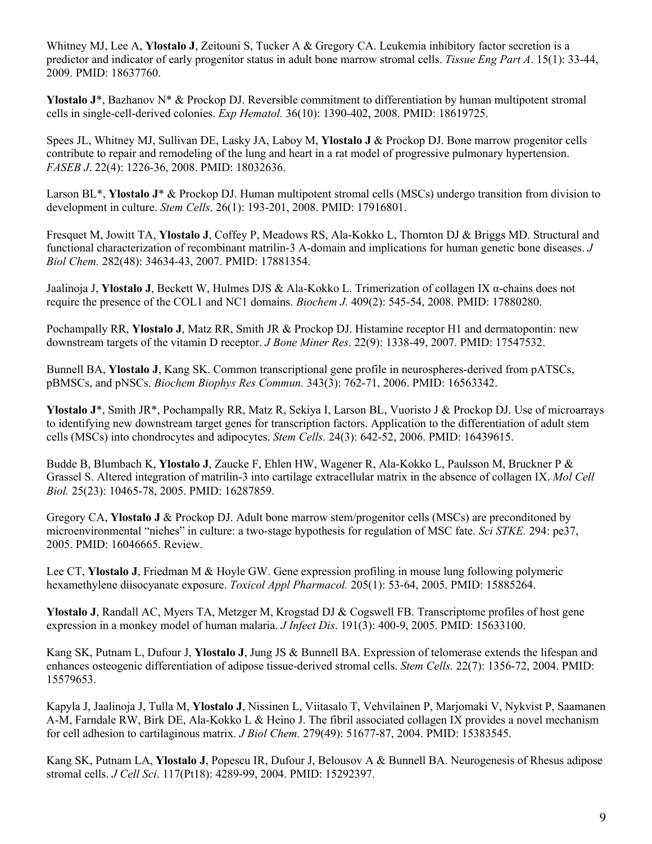Whitney MJ, Lee A, **Ylostalo J**, Zeitouni S, Tucker A & Gregory CA. Leukemia inhibitory factor secretion is a predictor and indicator of early progenitor status in adult bone marrow stromal cells. *Tissue Eng Part A*. 15(1): 33-44, 2009. PMID: 18637760.

**Ylostalo J**\*, Bazhanov N\* & Prockop DJ. Reversible commitment to differentiation by human multipotent stromal cells in single-cell-derived colonies. *Exp Hematol.* 36(10): 1390-402, 2008. PMID: 18619725.

Spees JL, Whitney MJ, Sullivan DE, Lasky JA, Laboy M, **Ylostalo J** & Prockop DJ. Bone marrow progenitor cells contribute to repair and remodeling of the lung and heart in a rat model of progressive pulmonary hypertension. *FASEB J*. 22(4): 1226-36, 2008. PMID: 18032636.

Larson BL\*, **Ylostalo J**\* & Prockop DJ. Human multipotent stromal cells (MSCs) undergo transition from division to development in culture. *Stem Cells*. 26(1): 193-201, 2008. PMID: 17916801.

Fresquet M, Jowitt TA, **Ylostalo J**, Coffey P, Meadows RS, Ala-Kokko L, Thornton DJ & Briggs MD. Structural and functional characterization of recombinant matrilin-3 A-domain and implications for human genetic bone diseases. *J Biol Chem.* 282(48): 34634-43, 2007. PMID: 17881354.

Jaalinoja J, **Ylostalo J**, Beckett W, Hulmes DJS & Ala-Kokko L. Trimerization of collagen IX α-chains does not require the presence of the COL1 and NC1 domains. *Biochem J.* 409(2): 545-54, 2008. PMID: 17880280.

Pochampally RR, **Ylostalo J**, Matz RR, Smith JR & Prockop DJ. Histamine receptor H1 and dermatopontin: new downstream targets of the vitamin D receptor. *J Bone Miner Res*. 22(9): 1338-49, 2007. PMID: 17547532.

Bunnell BA, **Ylostalo J**, Kang SK. Common transcriptional gene profile in neurospheres-derived from pATSCs, pBMSCs, and pNSCs. *Biochem Biophys Res Commun.* 343(3): 762-71, 2006. PMID: 16563342.

**Ylostalo J**\*, Smith JR\*, Pochampally RR, Matz R, Sekiya I, Larson BL, Vuoristo J & Prockop DJ. Use of microarrays to identifying new downstream target genes for transcription factors. Application to the differentiation of adult stem cells (MSCs) into chondrocytes and adipocytes. *Stem Cells.* 24(3): 642-52, 2006. PMID: 16439615.

Budde B, Blumbach K, **Ylostalo J**, Zaucke F, Ehlen HW, Wagener R, Ala-Kokko L, Paulsson M, Bruckner P & Grassel S. Altered integration of matrilin-3 into cartilage extracellular matrix in the absence of collagen IX. *Mol Cell Biol.* 25(23): 10465-78, 2005. PMID: 16287859.

Gregory CA, **Ylostalo J** & Prockop DJ. Adult bone marrow stem/progenitor cells (MSCs) are preconditoned by microenvironmental "niches" in culture: a two-stage hypothesis for regulation of MSC fate. *Sci STKE.* 294: pe37, 2005. PMID: 16046665. Review.

Lee CT, **Ylostalo J**, Friedman M & Hoyle GW. Gene expression profiling in mouse lung following polymeric hexamethylene diisocyanate exposure. *Toxicol Appl Pharmacol.* 205(1): 53-64, 2005. PMID: 15885264.

**Ylostalo J**, Randall AC, Myers TA, Metzger M, Krogstad DJ & Cogswell FB. Transcriptome profiles of host gene expression in a monkey model of human malaria. *J Infect Dis*. 191(3): 400-9, 2005. PMID: 15633100.

Kang SK, Putnam L, Dufour J, **Ylostalo J**, Jung JS & Bunnell BA. Expression of telomerase extends the lifespan and enhances osteogenic differentiation of adipose tissue-derived stromal cells. *Stem Cells.* 22(7): 1356-72, 2004. PMID: 15579653.

Kapyla J, Jaalinoja J, Tulla M, **Ylostalo J**, Nissinen L, Viitasalo T, Vehvilainen P, Marjomaki V, Nykvist P, Saamanen A-M, Farndale RW, Birk DE, Ala-Kokko L & Heino J. The fibril associated collagen IX provides a novel mechanism for cell adhesion to cartilaginous matrix. *J Biol Chem.* 279(49): 51677-87, 2004. PMID: 15383545.

Kang SK, Putnam LA, **Ylostalo J**, Popescu IR, Dufour J, Belousov A & Bunnell BA. Neurogenesis of Rhesus adipose stromal cells. *J Cell Sci*. 117(Pt18): 4289-99, 2004. PMID: 15292397.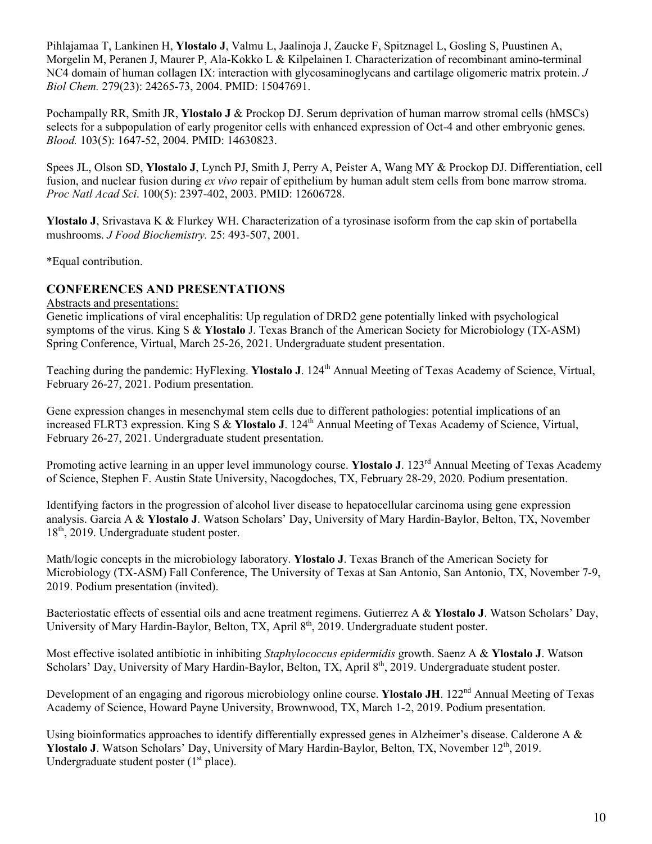Pihlajamaa T, Lankinen H, **Ylostalo J**, Valmu L, Jaalinoja J, Zaucke F, Spitznagel L, Gosling S, Puustinen A, Morgelin M, Peranen J, Maurer P, Ala-Kokko L & Kilpelainen I. Characterization of recombinant amino-terminal NC4 domain of human collagen IX: interaction with glycosaminoglycans and cartilage oligomeric matrix protein. *J Biol Chem.* 279(23): 24265-73, 2004. PMID: 15047691.

Pochampally RR, Smith JR, **Ylostalo J** & Prockop DJ. Serum deprivation of human marrow stromal cells (hMSCs) selects for a subpopulation of early progenitor cells with enhanced expression of Oct-4 and other embryonic genes. *Blood.* 103(5): 1647-52, 2004. PMID: 14630823.

Spees JL, Olson SD, **Ylostalo J**, Lynch PJ, Smith J, Perry A, Peister A, Wang MY & Prockop DJ. Differentiation, cell fusion, and nuclear fusion during *ex vivo* repair of epithelium by human adult stem cells from bone marrow stroma. *Proc Natl Acad Sci*. 100(5): 2397-402, 2003. PMID: 12606728.

**Ylostalo J**, Srivastava K & Flurkey WH. Characterization of a tyrosinase isoform from the cap skin of portabella mushrooms. *J Food Biochemistry.* 25: 493-507, 2001.

\*Equal contribution.

## **CONFERENCES AND PRESENTATIONS**

Abstracts and presentations:

Genetic implications of viral encephalitis: Up regulation of DRD2 gene potentially linked with psychological symptoms of the virus. King S & **Ylostalo** J. Texas Branch of the American Society for Microbiology (TX-ASM) Spring Conference, Virtual, March 25-26, 2021. Undergraduate student presentation.

Teaching during the pandemic: HyFlexing. **Ylostalo J**. 124th Annual Meeting of Texas Academy of Science, Virtual, February 26-27, 2021. Podium presentation.

Gene expression changes in mesenchymal stem cells due to different pathologies: potential implications of an increased FLRT3 expression. King S & **Ylostalo J**. 124th Annual Meeting of Texas Academy of Science, Virtual, February 26-27, 2021. Undergraduate student presentation.

Promoting active learning in an upper level immunology course. **Ylostalo J**. 123<sup>rd</sup> Annual Meeting of Texas Academy of Science, Stephen F. Austin State University, Nacogdoches, TX, February 28-29, 2020. Podium presentation.

Identifying factors in the progression of alcohol liver disease to hepatocellular carcinoma using gene expression analysis. Garcia A & **Ylostalo J**. Watson Scholars' Day, University of Mary Hardin-Baylor, Belton, TX, November  $18<sup>th</sup>$ , 2019. Undergraduate student poster.

Math/logic concepts in the microbiology laboratory. **Ylostalo J**. Texas Branch of the American Society for Microbiology (TX-ASM) Fall Conference, The University of Texas at San Antonio, San Antonio, TX, November 7-9, 2019. Podium presentation (invited).

Bacteriostatic effects of essential oils and acne treatment regimens. Gutierrez A & **Ylostalo J**. Watson Scholars' Day, University of Mary Hardin-Baylor, Belton, TX, April 8<sup>th</sup>, 2019. Undergraduate student poster.

Most effective isolated antibiotic in inhibiting *Staphylococcus epidermidis* growth. Saenz A & **Ylostalo J**. Watson Scholars' Day, University of Mary Hardin-Baylor, Belton, TX, April 8<sup>th</sup>, 2019. Undergraduate student poster.

Development of an engaging and rigorous microbiology online course. **Ylostalo JH**. 122<sup>nd</sup> Annual Meeting of Texas Academy of Science, Howard Payne University, Brownwood, TX, March 1-2, 2019. Podium presentation.

Using bioinformatics approaches to identify differentially expressed genes in Alzheimer's disease. Calderone A & **Ylostalo J.** Watson Scholars' Day, University of Mary Hardin-Baylor, Belton, TX, November 12<sup>th</sup>, 2019. Undergraduate student poster  $(1<sup>st</sup>$  place).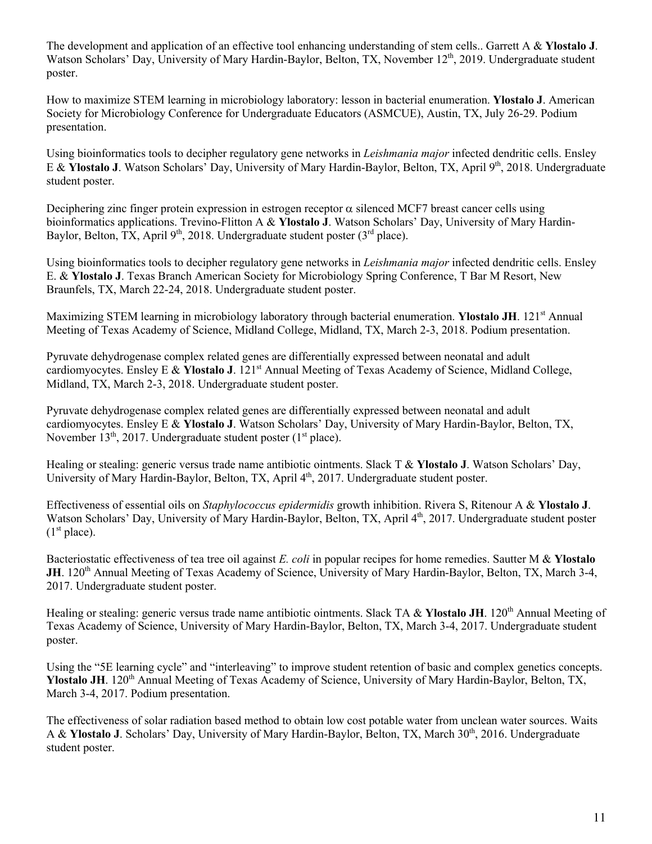The development and application of an effective tool enhancing understanding of stem cells.. Garrett A & **Ylostalo J**. Watson Scholars' Day, University of Mary Hardin-Baylor, Belton, TX, November 12<sup>th</sup>, 2019. Undergraduate student poster.

How to maximize STEM learning in microbiology laboratory: lesson in bacterial enumeration. **Ylostalo J**. American Society for Microbiology Conference for Undergraduate Educators (ASMCUE), Austin, TX, July 26-29. Podium presentation.

Using bioinformatics tools to decipher regulatory gene networks in *Leishmania major* infected dendritic cells. Ensley E & **Ylostalo J**. Watson Scholars' Day, University of Mary Hardin-Baylor, Belton, TX, April 9<sup>th</sup>, 2018. Undergraduate student poster.

Deciphering zinc finger protein expression in estrogen receptor  $\alpha$  silenced MCF7 breast cancer cells using bioinformatics applications. Trevino-Flitton A & **Ylostalo J**. Watson Scholars' Day, University of Mary Hardin-Baylor, Belton, TX, April 9<sup>th</sup>, 2018. Undergraduate student poster ( $3<sup>rd</sup>$  place).

Using bioinformatics tools to decipher regulatory gene networks in *Leishmania major* infected dendritic cells. Ensley E. & **Ylostalo J**. Texas Branch American Society for Microbiology Spring Conference, T Bar M Resort, New Braunfels, TX, March 22-24, 2018. Undergraduate student poster.

Maximizing STEM learning in microbiology laboratory through bacterial enumeration. **Ylostalo JH**. 121st Annual Meeting of Texas Academy of Science, Midland College, Midland, TX, March 2-3, 2018. Podium presentation.

Pyruvate dehydrogenase complex related genes are differentially expressed between neonatal and adult cardiomyocytes. Ensley E & **Ylostalo J**. 121st Annual Meeting of Texas Academy of Science, Midland College, Midland, TX, March 2-3, 2018. Undergraduate student poster.

Pyruvate dehydrogenase complex related genes are differentially expressed between neonatal and adult cardiomyocytes. Ensley E & **Ylostalo J**. Watson Scholars' Day, University of Mary Hardin-Baylor, Belton, TX, November 13<sup>th</sup>, 2017. Undergraduate student poster  $(1<sup>st</sup>$  place).

Healing or stealing: generic versus trade name antibiotic ointments. Slack T & **Ylostalo J**. Watson Scholars' Day, University of Mary Hardin-Baylor, Belton, TX, April 4<sup>th</sup>, 2017. Undergraduate student poster.

Effectiveness of essential oils on *Staphylococcus epidermidis* growth inhibition. Rivera S, Ritenour A & **Ylostalo J**. Watson Scholars' Day, University of Mary Hardin-Baylor, Belton, TX, April 4<sup>th</sup>, 2017. Undergraduate student poster  $(1<sup>st</sup> place).$ 

Bacteriostatic effectiveness of tea tree oil against *E. coli* in popular recipes for home remedies. Sautter M & **Ylostalo JH.** 120<sup>th</sup> Annual Meeting of Texas Academy of Science, University of Mary Hardin-Baylor, Belton, TX, March 3-4, 2017. Undergraduate student poster.

Healing or stealing: generic versus trade name antibiotic ointments. Slack TA & **Ylostalo JH**. 120th Annual Meeting of Texas Academy of Science, University of Mary Hardin-Baylor, Belton, TX, March 3-4, 2017. Undergraduate student poster.

Using the "5E learning cycle" and "interleaving" to improve student retention of basic and complex genetics concepts. Ylostalo JH. 120<sup>th</sup> Annual Meeting of Texas Academy of Science, University of Mary Hardin-Baylor, Belton, TX, March 3-4, 2017. Podium presentation.

The effectiveness of solar radiation based method to obtain low cost potable water from unclean water sources. Waits A & **Ylostalo J**. Scholars' Day, University of Mary Hardin-Baylor, Belton, TX, March 30<sup>th</sup>, 2016. Undergraduate student poster.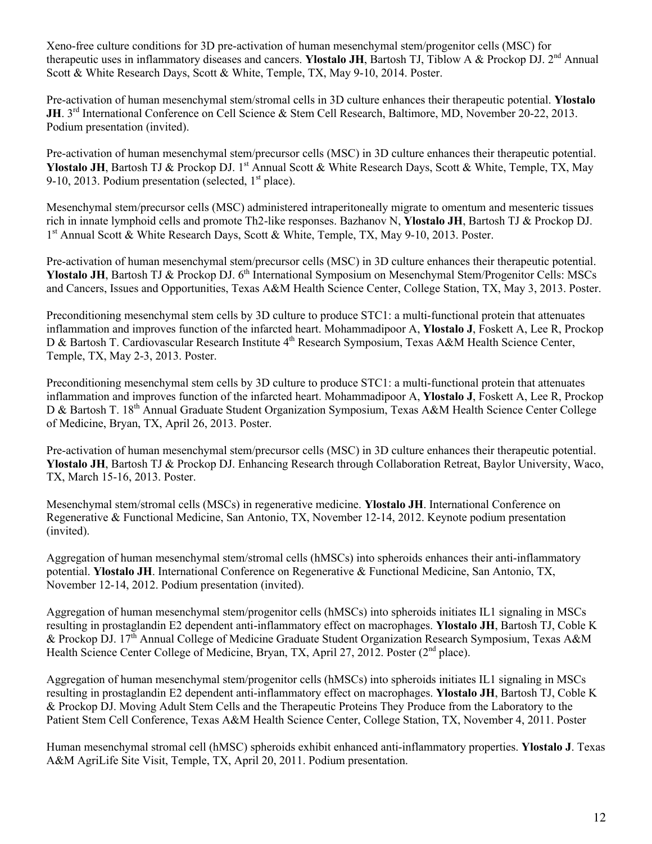Xeno-free culture conditions for 3D pre-activation of human mesenchymal stem/progenitor cells (MSC) for therapeutic uses in inflammatory diseases and cancers. **Ylostalo JH**, Bartosh TJ, Tiblow A & Prockop DJ. 2<sup>nd</sup> Annual Scott & White Research Days, Scott & White, Temple, TX, May 9-10, 2014. Poster.

Pre-activation of human mesenchymal stem/stromal cells in 3D culture enhances their therapeutic potential. **Ylostalo JH**. 3<sup>rd</sup> International Conference on Cell Science & Stem Cell Research, Baltimore, MD, November 20-22, 2013. Podium presentation (invited).

Pre-activation of human mesenchymal stem/precursor cells (MSC) in 3D culture enhances their therapeutic potential. **Ylostalo JH**, Bartosh TJ & Prockop DJ. 1<sup>st</sup> Annual Scott & White Research Days, Scott & White, Temple, TX, May 9-10, 2013. Podium presentation (selected,  $1<sup>st</sup>$  place).

Mesenchymal stem/precursor cells (MSC) administered intraperitoneally migrate to omentum and mesenteric tissues rich in innate lymphoid cells and promote Th2-like responses. Bazhanov N, **Ylostalo JH**, Bartosh TJ & Prockop DJ. 1<sup>st</sup> Annual Scott & White Research Days, Scott & White, Temple, TX, May 9-10, 2013. Poster.

Pre-activation of human mesenchymal stem/precursor cells (MSC) in 3D culture enhances their therapeutic potential. **Ylostalo JH**, Bartosh TJ & Prockop DJ. 6<sup>th</sup> International Symposium on Mesenchymal Stem/Progenitor Cells: MSCs and Cancers, Issues and Opportunities, Texas A&M Health Science Center, College Station, TX, May 3, 2013. Poster.

Preconditioning mesenchymal stem cells by 3D culture to produce STC1: a multi-functional protein that attenuates inflammation and improves function of the infarcted heart. Mohammadipoor A, **Ylostalo J**, Foskett A, Lee R, Prockop D & Bartosh T. Cardiovascular Research Institute 4<sup>th</sup> Research Symposium, Texas A&M Health Science Center, Temple, TX, May 2-3, 2013. Poster.

Preconditioning mesenchymal stem cells by 3D culture to produce STC1: a multi-functional protein that attenuates inflammation and improves function of the infarcted heart. Mohammadipoor A, **Ylostalo J**, Foskett A, Lee R, Prockop D & Bartosh T. 18<sup>th</sup> Annual Graduate Student Organization Symposium, Texas A&M Health Science Center College of Medicine, Bryan, TX, April 26, 2013. Poster.

Pre-activation of human mesenchymal stem/precursor cells (MSC) in 3D culture enhances their therapeutic potential. **Ylostalo JH**, Bartosh TJ & Prockop DJ. Enhancing Research through Collaboration Retreat, Baylor University, Waco, TX, March 15-16, 2013. Poster.

Mesenchymal stem/stromal cells (MSCs) in regenerative medicine. **Ylostalo JH**. International Conference on Regenerative & Functional Medicine, San Antonio, TX, November 12-14, 2012. Keynote podium presentation (invited).

Aggregation of human mesenchymal stem/stromal cells (hMSCs) into spheroids enhances their anti-inflammatory potential. **Ylostalo JH**. International Conference on Regenerative & Functional Medicine, San Antonio, TX, November 12-14, 2012. Podium presentation (invited).

Aggregation of human mesenchymal stem/progenitor cells (hMSCs) into spheroids initiates IL1 signaling in MSCs resulting in prostaglandin E2 dependent anti-inflammatory effect on macrophages. **Ylostalo JH**, Bartosh TJ, Coble K & Prockop DJ. 17th Annual College of Medicine Graduate Student Organization Research Symposium, Texas A&M Health Science Center College of Medicine, Bryan, TX, April 27, 2012. Poster (2<sup>nd</sup> place).

Aggregation of human mesenchymal stem/progenitor cells (hMSCs) into spheroids initiates IL1 signaling in MSCs resulting in prostaglandin E2 dependent anti-inflammatory effect on macrophages. **Ylostalo JH**, Bartosh TJ, Coble K & Prockop DJ. Moving Adult Stem Cells and the Therapeutic Proteins They Produce from the Laboratory to the Patient Stem Cell Conference, Texas A&M Health Science Center, College Station, TX, November 4, 2011. Poster

Human mesenchymal stromal cell (hMSC) spheroids exhibit enhanced anti-inflammatory properties. **Ylostalo J**. Texas A&M AgriLife Site Visit, Temple, TX, April 20, 2011. Podium presentation.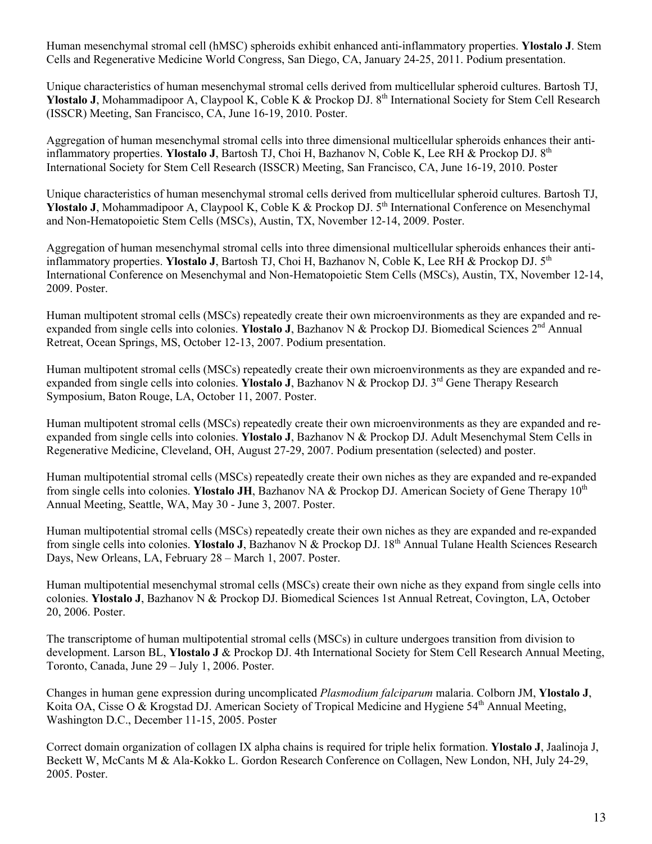Human mesenchymal stromal cell (hMSC) spheroids exhibit enhanced anti-inflammatory properties. **Ylostalo J**. Stem Cells and Regenerative Medicine World Congress, San Diego, CA, January 24-25, 2011. Podium presentation.

Unique characteristics of human mesenchymal stromal cells derived from multicellular spheroid cultures. Bartosh TJ, **Ylostalo J**, Mohammadipoor A, Claypool K, Coble K & Prockop DJ. 8<sup>th</sup> International Society for Stem Cell Research (ISSCR) Meeting, San Francisco, CA, June 16-19, 2010. Poster.

Aggregation of human mesenchymal stromal cells into three dimensional multicellular spheroids enhances their antiinflammatory properties. **Ylostalo J**, Bartosh TJ, Choi H, Bazhanov N, Coble K, Lee RH & Prockop DJ. 8th International Society for Stem Cell Research (ISSCR) Meeting, San Francisco, CA, June 16-19, 2010. Poster

Unique characteristics of human mesenchymal stromal cells derived from multicellular spheroid cultures. Bartosh TJ, Ylostalo J, Mohammadipoor A, Claypool K, Coble K & Prockop DJ. 5<sup>th</sup> International Conference on Mesenchymal and Non-Hematopoietic Stem Cells (MSCs), Austin, TX, November 12-14, 2009. Poster.

Aggregation of human mesenchymal stromal cells into three dimensional multicellular spheroids enhances their antiinflammatory properties. **Ylostalo J**, Bartosh TJ, Choi H, Bazhanov N, Coble K, Lee RH & Prockop DJ. 5th International Conference on Mesenchymal and Non-Hematopoietic Stem Cells (MSCs), Austin, TX, November 12-14, 2009. Poster.

Human multipotent stromal cells (MSCs) repeatedly create their own microenvironments as they are expanded and reexpanded from single cells into colonies. **Ylostalo J**, Bazhanov N & Prockop DJ. Biomedical Sciences 2nd Annual Retreat, Ocean Springs, MS, October 12-13, 2007. Podium presentation.

Human multipotent stromal cells (MSCs) repeatedly create their own microenvironments as they are expanded and reexpanded from single cells into colonies. **Ylostalo J**, Bazhanov N & Prockop DJ. 3rd Gene Therapy Research Symposium, Baton Rouge, LA, October 11, 2007. Poster.

Human multipotent stromal cells (MSCs) repeatedly create their own microenvironments as they are expanded and reexpanded from single cells into colonies. **Ylostalo J**, Bazhanov N & Prockop DJ. Adult Mesenchymal Stem Cells in Regenerative Medicine, Cleveland, OH, August 27-29, 2007. Podium presentation (selected) and poster.

Human multipotential stromal cells (MSCs) repeatedly create their own niches as they are expanded and re-expanded from single cells into colonies. **Ylostalo JH**, Bazhanov NA & Prockop DJ. American Society of Gene Therapy 10<sup>th</sup> Annual Meeting, Seattle, WA, May 30 - June 3, 2007. Poster.

Human multipotential stromal cells (MSCs) repeatedly create their own niches as they are expanded and re-expanded from single cells into colonies. **Ylostalo J**, Bazhanov N & Prockop DJ. 18th Annual Tulane Health Sciences Research Days, New Orleans, LA, February 28 – March 1, 2007. Poster.

Human multipotential mesenchymal stromal cells (MSCs) create their own niche as they expand from single cells into colonies. **Ylostalo J**, Bazhanov N & Prockop DJ. Biomedical Sciences 1st Annual Retreat, Covington, LA, October 20, 2006. Poster.

The transcriptome of human multipotential stromal cells (MSCs) in culture undergoes transition from division to development. Larson BL, **Ylostalo J** & Prockop DJ. 4th International Society for Stem Cell Research Annual Meeting, Toronto, Canada, June 29 – July 1, 2006. Poster.

Changes in human gene expression during uncomplicated *Plasmodium falciparum* malaria. Colborn JM, **Ylostalo J**, Koita OA, Cisse O & Krogstad DJ. American Society of Tropical Medicine and Hygiene 54<sup>th</sup> Annual Meeting, Washington D.C., December 11-15, 2005. Poster

Correct domain organization of collagen IX alpha chains is required for triple helix formation. **Ylostalo J**, Jaalinoja J, Beckett W, McCants M & Ala-Kokko L. Gordon Research Conference on Collagen, New London, NH, July 24-29, 2005. Poster.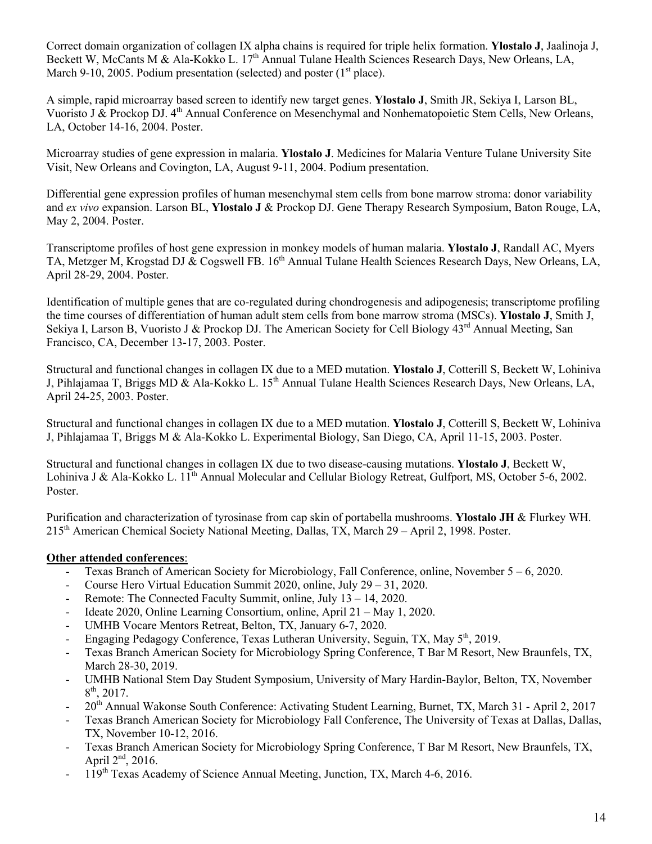Correct domain organization of collagen IX alpha chains is required for triple helix formation. **Ylostalo J**, Jaalinoja J, Beckett W, McCants M & Ala-Kokko L. 17<sup>th</sup> Annual Tulane Health Sciences Research Days, New Orleans, LA, March 9-10, 2005. Podium presentation (selected) and poster  $(1<sup>st</sup>$  place).

A simple, rapid microarray based screen to identify new target genes. **Ylostalo J**, Smith JR, Sekiya I, Larson BL, Vuoristo J & Prockop DJ. 4th Annual Conference on Mesenchymal and Nonhematopoietic Stem Cells, New Orleans, LA, October 14-16, 2004. Poster.

Microarray studies of gene expression in malaria. **Ylostalo J**. Medicines for Malaria Venture Tulane University Site Visit, New Orleans and Covington, LA, August 9-11, 2004. Podium presentation.

Differential gene expression profiles of human mesenchymal stem cells from bone marrow stroma: donor variability and *ex vivo* expansion. Larson BL, **Ylostalo J** & Prockop DJ. Gene Therapy Research Symposium, Baton Rouge, LA, May 2, 2004. Poster.

Transcriptome profiles of host gene expression in monkey models of human malaria. **Ylostalo J**, Randall AC, Myers TA, Metzger M, Krogstad DJ & Cogswell FB. 16<sup>th</sup> Annual Tulane Health Sciences Research Days, New Orleans, LA, April 28-29, 2004. Poster.

Identification of multiple genes that are co-regulated during chondrogenesis and adipogenesis; transcriptome profiling the time courses of differentiation of human adult stem cells from bone marrow stroma (MSCs). **Ylostalo J**, Smith J, Sekiya I, Larson B, Vuoristo J & Prockop DJ. The American Society for Cell Biology 43<sup>rd</sup> Annual Meeting, San Francisco, CA, December 13-17, 2003. Poster.

Structural and functional changes in collagen IX due to a MED mutation. **Ylostalo J**, Cotterill S, Beckett W, Lohiniva J, Pihlajamaa T, Briggs MD & Ala-Kokko L. 15th Annual Tulane Health Sciences Research Days, New Orleans, LA, April 24-25, 2003. Poster.

Structural and functional changes in collagen IX due to a MED mutation. **Ylostalo J**, Cotterill S, Beckett W, Lohiniva J, Pihlajamaa T, Briggs M & Ala-Kokko L. Experimental Biology, San Diego, CA, April 11-15, 2003. Poster.

Structural and functional changes in collagen IX due to two disease-causing mutations. **Ylostalo J**, Beckett W, Lohiniva J & Ala-Kokko L. 1<sup>th</sup> Annual Molecular and Cellular Biology Retreat, Gulfport, MS, October 5-6, 2002. Poster.

Purification and characterization of tyrosinase from cap skin of portabella mushrooms. **Ylostalo JH** & Flurkey WH. 215th American Chemical Society National Meeting, Dallas, TX, March 29 – April 2, 1998. Poster.

## **Other attended conferences**:

- Texas Branch of American Society for Microbiology, Fall Conference, online, November 5 6, 2020.
- Course Hero Virtual Education Summit 2020, online, July 29 31, 2020.
- Remote: The Connected Faculty Summit, online, July 13 14, 2020.
- Ideate 2020, Online Learning Consortium, online, April 21 May 1, 2020.
- UMHB Vocare Mentors Retreat, Belton, TX, January 6-7, 2020.
- Engaging Pedagogy Conference, Texas Lutheran University, Seguin, TX, May 5<sup>th</sup>, 2019.
- Texas Branch American Society for Microbiology Spring Conference, T Bar M Resort, New Braunfels, TX, March 28-30, 2019.
- UMHB National Stem Day Student Symposium, University of Mary Hardin-Baylor, Belton, TX, November  $8<sup>th</sup>$ , 2017.
- 20<sup>th</sup> Annual Wakonse South Conference: Activating Student Learning, Burnet, TX, March 31 April 2, 2017
- Texas Branch American Society for Microbiology Fall Conference, The University of Texas at Dallas, Dallas, TX, November 10-12, 2016.
- Texas Branch American Society for Microbiology Spring Conference, T Bar M Resort, New Braunfels, TX, April  $2<sup>nd</sup>$ , 2016.
- <sup>-</sup> 119<sup>th</sup> Texas Academy of Science Annual Meeting, Junction, TX, March 4-6, 2016.